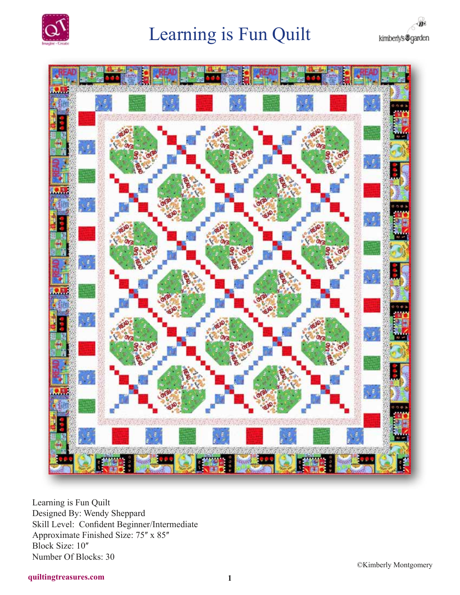





Learning is Fun Quilt Designed By: Wendy Sheppard Skill Level: Confident Beginner/Intermediate Approximate Finished Size: 75" x 85" Block Size:  $10$ <sup>"</sup> Number Of Blocks: 30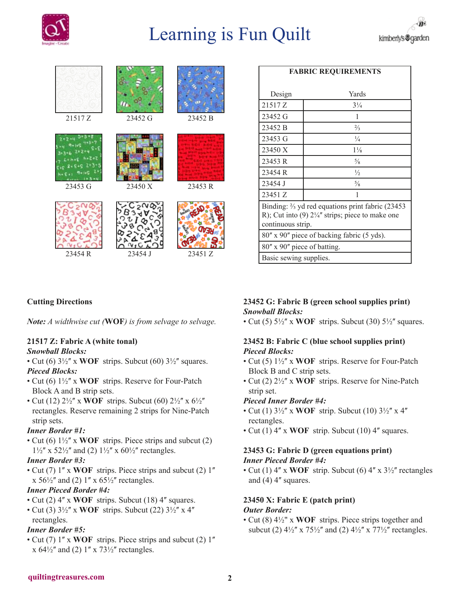



| <b>FABRIC REQUIREMENTS</b>                                                                                                                       |                |
|--------------------------------------------------------------------------------------------------------------------------------------------------|----------------|
|                                                                                                                                                  |                |
| Design                                                                                                                                           | Yards          |
| 21517 Z                                                                                                                                          | $3\frac{1}{4}$ |
| 23452 G                                                                                                                                          | 1              |
| 23452 B                                                                                                                                          | $\frac{2}{3}$  |
| 23453 G                                                                                                                                          | $\frac{1}{4}$  |
| 23450 X                                                                                                                                          | $1\frac{1}{8}$ |
| 23453 R                                                                                                                                          | $\frac{5}{8}$  |
| 23454 R                                                                                                                                          | $\frac{1}{2}$  |
| 23454 J                                                                                                                                          | $\frac{5}{8}$  |
| 23451 Z                                                                                                                                          | 1              |
| Binding: $\frac{2}{3}$ yd red equations print fabric (23453)<br>R); Cut into (9) $2\frac{1}{4}$ " strips; piece to make one<br>continuous strip. |                |
| 80" x 90" piece of backing fabric (5 yds).                                                                                                       |                |
| 80" x 90" piece of batting.                                                                                                                      |                |
| Basic sewing supplies.                                                                                                                           |                |

## **Cutting Directions**

*Note: A widthwise cut (***WOF***) is from selvage to selvage.*

## **21517 Z: Fabric A (white tonal)**

#### *Snowball Blocks:*

- Cut (6)  $3\frac{1}{2}$ " x **WOF** strips. Subcut (60)  $3\frac{1}{2}$ " squares. *Pieced Blocks:*
- Cut (6)  $1\frac{1}{2}$ " x **WOF** strips. Reserve for Four-Patch Block A and B strip sets.
- Cut (12)  $2\frac{1}{2}$ " x **WOF** strips. Subcut (60)  $2\frac{1}{2}$ " x  $6\frac{1}{2}$ " rectangles. Reserve remaining 2 strips for Nine-Patch strip sets.

## *Inner Border #1:*

• Cut (6)  $1\frac{1}{2}$ <sup>"</sup> x **WOF** strips. Piece strips and subcut (2)  $1\frac{1}{2}$ " x 52 $\frac{1}{2}$ " and (2)  $1\frac{1}{2}$ " x 60 $\frac{1}{2}$ " rectangles.

#### *Inner Border #3:*

• Cut (7) 1" x **WOF** strips. Piece strips and subcut (2) 1" x  $56\frac{1}{2}$  and (2) 1'' x  $65\frac{1}{2}$  rectangles.

#### *Inner Pieced Border #4:*

- Cut (2) 4" x **WOF** strips. Subcut (18) 4" squares.
- Cut (3)  $3\frac{1}{2}$ " x **WOF** strips. Subcut (22)  $3\frac{1}{2}$ " x 4" rectangles.

## *Inner Border #5:*

• Cut (7) 1" x WOF strips. Piece strips and subcut (2) 1" x  $64\frac{1}{2}$  and (2)  $1$  x  $73\frac{1}{2}$  rectangles.

## **23452 G: Fabric B (green school supplies print)** *Snowball Blocks:*

• Cut (5)  $5\frac{1}{2}$ " x WOF strips. Subcut (30)  $5\frac{1}{2}$ " squares.

## **23452 B: Fabric C (blue school supplies print)** *Pieced Blocks:*

- Cut (5)  $1\frac{1}{2}$ " x **WOF** strips. Reserve for Four-Patch Block B and C strip sets.
- Cut (2)  $2\frac{1}{2}$ " x **WOF** strips. Reserve for Nine-Patch strip set.

## *Pieced Inner Border #4:*

- Cut (1)  $3\frac{1}{2}$ " x **WOF** strip. Subcut (10)  $3\frac{1}{2}$ " x 4" rectangles.
- Cut (1) 4" x **WOF** strip. Subcut (10) 4" squares.

## **23453 G: Fabric D (green equations print)** *Inner Pieced Border #4:*

• Cut (1) 4" x **WOF** strip. Subcut (6) 4" x 3½" rectangles and  $(4)$  4 $^{\prime\prime}$  squares.

## **23450 X: Fabric E (patch print)** *Outer Border:*

• Cut (8) 4½" x **WOF** strips. Piece strips together and subcut (2)  $4\frac{1}{2}$ " x  $75\frac{1}{2}$ " and (2)  $4\frac{1}{2}$ " x  $77\frac{1}{2}$ " rectangles.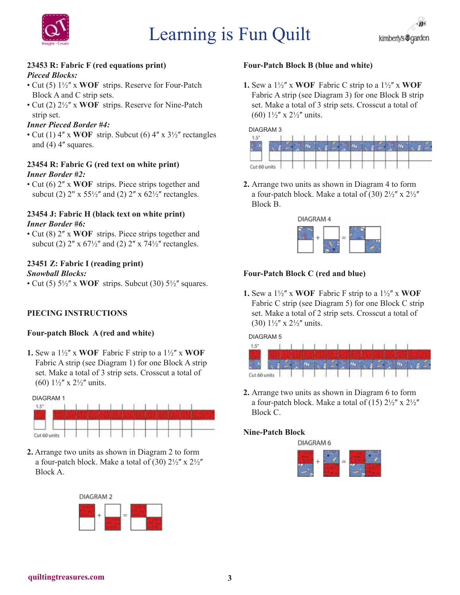



#### **23453 R: Fabric F (red equations print)** *Pieced Blocks:*

- Cut (5)  $1\frac{1}{2}$ " x **WOF** strips. Reserve for Four-Patch Block A and C strip sets.
- Cut (2)  $2\frac{1}{2}$ <sup>"</sup> x **WOF** strips. Reserve for Nine-Patch strip set.

## *Inner Pieced Border #4:*

• Cut (1)  $4''$  x **WOF** strip. Subcut (6)  $4''$  x  $3\frac{1}{2}$  rectangles and  $(4)$  4 $^{\prime\prime}$  squares.

#### **23454 R: Fabric G (red text on white print)** *Inner Border #2:*

• Cut (6) 2" x **WOF** strips. Piece strips together and subcut (2)  $2'' \times 55\frac{1}{2}''$  and (2)  $2'' \times 62\frac{1}{2}''$  rectangles.

#### **23454 J: Fabric H (black text on white print)** *Inner Border #6:*

• Cut (8) 2" x **WOF** strips. Piece strips together and subcut (2)  $2''$  x  $67\frac{1}{2}''$  and (2)  $2''$  x  $74\frac{1}{2}''$  rectangles.

#### **23451 Z: Fabric I (reading print)** *Snowball Blocks:*

• Cut (5)  $5\frac{1}{2}$ " x WOF strips. Subcut (30)  $5\frac{1}{2}$ " squares.

## **PIECING INSTRUCTIONS**

#### **Four-patch Block A (red and white)**

**1.** Sew a  $1\frac{1}{2}$ " x **WOF** Fabric F strip to a  $1\frac{1}{2}$ " x **WOF** Fabric A strip (see Diagram 1) for one Block A strip set. Make a total of 3 strip sets. Crosscut a total of (60)  $1\frac{1}{2}$  x  $2\frac{1}{2}$  units.



**2.** Arrange two units as shown in Diagram 2 to form a four-patch block. Make a total of (30)  $2\frac{1}{2}$ " x  $2\frac{1}{2}$ " Block A.



#### **Four-Patch Block B (blue and white)**

**1.** Sew a  $1\frac{1}{2}$ " x **WOF** Fabric C strip to a  $1\frac{1}{2}$ " x **WOF** Fabric A strip (see Diagram 3) for one Block B strip set. Make a total of 3 strip sets. Crosscut a total of (60)  $1\frac{1}{2}$ " x  $2\frac{1}{2}$ " units.



**2.** Arrange two units as shown in Diagram 4 to form a four-patch block. Make a total of (30)  $2\frac{1}{2}$ " x  $2\frac{1}{2}$ " Block B.



## **Four-Patch Block C (red and blue)**

**1.** Sew a  $1\frac{1}{2}$ " x **WOF** Fabric F strip to a  $1\frac{1}{2}$ " x **WOF** Fabric C strip (see Diagram 5) for one Block C strip set. Make a total of 2 strip sets. Crosscut a total of (30)  $1\frac{1}{2}$  x  $2\frac{1}{2}$  units.

DIAGRAM 5



**2.** Arrange two units as shown in Diagram 6 to form a four-patch block. Make a total of (15)  $2\frac{1}{2}$ " x  $2\frac{1}{2}$ " Block C.

## **Nine-Patch Block**

**DIAGRAM 6**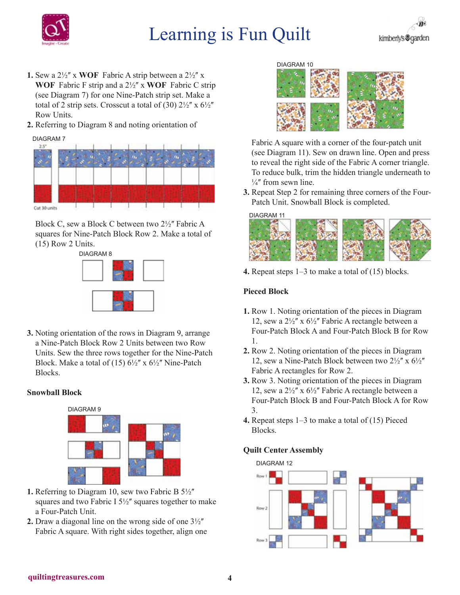

- **1.** Sew a  $2\frac{1}{2}$ " x **WOF** Fabric A strip between a  $2\frac{1}{2}$ " x **WOF** Fabric F strip and a 2½ʺ x **WOF** Fabric C strip (see Diagram 7) for one Nine-Patch strip set. Make a total of 2 strip sets. Crosscut a total of (30)  $2\frac{1}{2}$ " x  $6\frac{1}{2}$ " Row Units.
- **2.** Referring to Diagram 8 and noting orientation of

DIAGRAM 7



Block C, sew a Block C between two  $2\frac{1}{2}$ " Fabric A squares for Nine-Patch Block Row 2. Make a total of (15) Row 2 Units.



**3.** Noting orientation of the rows in Diagram 9, arrange a Nine-Patch Block Row 2 Units between two Row Units. Sew the three rows together for the Nine-Patch Block. Make a total of (15)  $6\frac{1}{2}$ " x  $6\frac{1}{2}$ " Nine-Patch Blocks.

## **Snowball Block**



- **1.** Referring to Diagram 10, sew two Fabric B 5½" squares and two Fabric I  $5\frac{1}{2}$ " squares together to make a Four-Patch Unit.
- **2.** Draw a diagonal line on the wrong side of one  $3\frac{1}{2}$ Fabric A square. With right sides together, align one



Fabric A square with a corner of the four-patch unit (see Diagram 11). Sew on drawn line. Open and press to reveal the right side of the Fabric A corner triangle. To reduce bulk, trim the hidden triangle underneath to  $\frac{1}{4}$ " from sewn line.

**3.** Repeat Step 2 for remaining three corners of the Four-Patch Unit. Snowball Block is completed.



**4.** Repeat steps 1–3 to make a total of (15) blocks.

## **Pieced Block**

- **1.** Row 1. Noting orientation of the pieces in Diagram 12, sew a  $2\frac{1}{2}$ " x  $6\frac{1}{2}$ " Fabric A rectangle between a Four-Patch Block A and Four-Patch Block B for Row 1.
- **2.** Row 2. Noting orientation of the pieces in Diagram 12, sew a Nine-Patch Block between two  $2\frac{1}{2}$ " x  $6\frac{1}{2}$ " Fabric A rectangles for Row 2.
- **3.** Row 3. Noting orientation of the pieces in Diagram 12, sew a  $2\frac{1}{2}$ " x  $6\frac{1}{2}$ " Fabric A rectangle between a Four-Patch Block B and Four-Patch Block A for Row 3.
- **4.** Repeat steps 1–3 to make a total of (15) Pieced Blocks.

#### **Quilt Center Assembly**